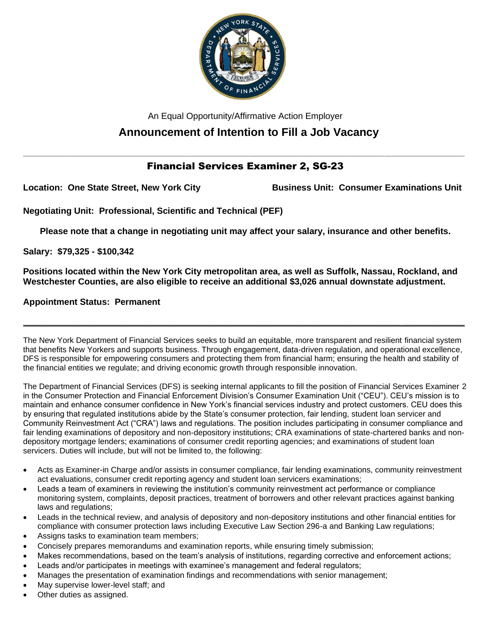

An Equal Opportunity/Affirmative Action Employer

# **Announcement of Intention to Fill a Job Vacancy**

## **\_\_\_\_\_\_\_\_\_\_\_\_\_\_\_\_\_\_\_\_\_\_\_\_\_\_\_\_\_\_\_\_\_\_\_\_\_\_\_\_\_\_\_\_\_\_\_\_\_\_\_\_\_\_\_\_\_\_\_\_\_\_\_\_\_\_\_\_\_\_\_\_\_\_\_\_\_\_\_\_\_\_\_\_\_\_\_\_\_\_\_\_\_\_\_\_\_\_\_** Financial Services Examiner 2, SG-23

**Location: One State Street, New York City Business Unit: Consumer Examinations Unit**

**Negotiating Unit: Professional, Scientific and Technical (PEF)**

**Please note that a change in negotiating unit may affect your salary, insurance and other benefits.**

**Salary: \$79,325 - \$100,342**

**Positions located within the New York City metropolitan area, as well as Suffolk, Nassau, Rockland, and Westchester Counties, are also eligible to receive an additional \$3,026 annual downstate adjustment.**

**Appointment Status: Permanent**

The New York Department of Financial Services seeks to build an equitable, more transparent and resilient financial system that benefits New Yorkers and supports business. Through engagement, data-driven regulation, and operational excellence, DFS is responsible for empowering consumers and protecting them from financial harm; ensuring the health and stability of the financial entities we regulate; and driving economic growth through responsible innovation.

**\_\_\_\_\_\_\_\_\_\_\_\_\_\_\_\_\_\_\_\_\_\_\_\_\_\_\_\_\_\_\_\_\_\_\_\_\_\_\_\_\_\_\_\_\_\_\_\_\_\_\_\_\_\_\_\_\_\_\_\_\_\_\_\_\_\_\_\_\_\_\_\_\_\_\_\_\_\_\_\_\_\_\_\_\_\_\_\_\_\_\_\_\_\_\_\_\_\_\_**

The Department of Financial Services (DFS) is seeking internal applicants to fill the position of Financial Services Examiner 2 in the Consumer Protection and Financial Enforcement Division's Consumer Examination Unit ("CEU"). CEU's mission is to maintain and enhance consumer confidence in New York's financial services industry and protect customers. CEU does this by ensuring that regulated institutions abide by the State's consumer protection, fair lending, student loan servicer and Community Reinvestment Act ("CRA") laws and regulations. The position includes participating in consumer compliance and fair lending examinations of depository and non-depository institutions; CRA examinations of state-chartered banks and nondepository mortgage lenders; examinations of consumer credit reporting agencies; and examinations of student loan servicers. Duties will include, but will not be limited to, the following:

- Acts as Examiner-in Charge and/or assists in consumer compliance, fair lending examinations, community reinvestment act evaluations, consumer credit reporting agency and student loan servicers examinations;
- Leads a team of examiners in reviewing the institution's community reinvestment act performance or compliance monitoring system, complaints, deposit practices, treatment of borrowers and other relevant practices against banking laws and regulations;
- Leads in the technical review, and analysis of depository and non-depository institutions and other financial entities for compliance with consumer protection laws including Executive Law Section 296-a and Banking Law regulations;
- Assigns tasks to examination team members;
- Concisely prepares memorandums and examination reports, while ensuring timely submission;
- Makes recommendations, based on the team's analysis of institutions, regarding corrective and enforcement actions;
- Leads and/or participates in meetings with examinee's management and federal regulators;
- Manages the presentation of examination findings and recommendations with senior management;
- May supervise lower-level staff; and
- Other duties as assigned.